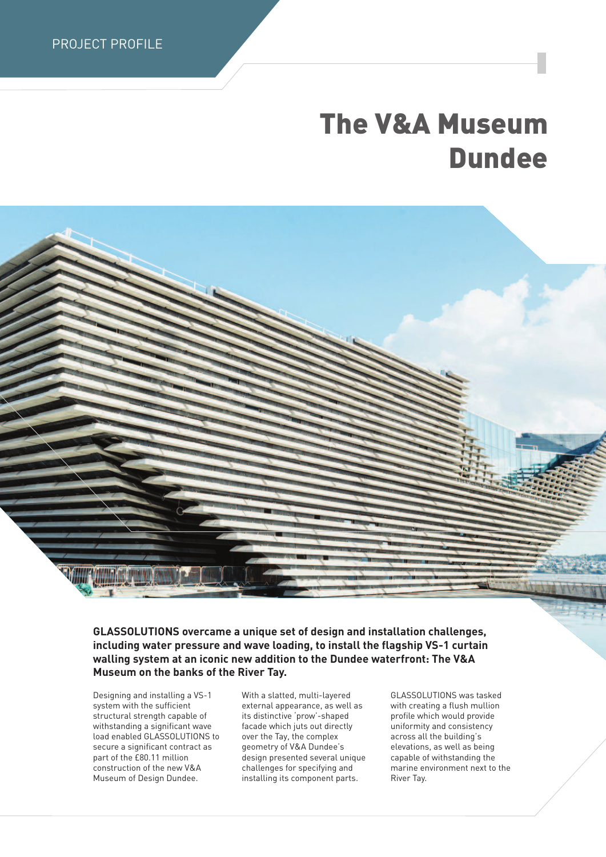PROJECT PROFILE

## **The V&A Museum Dundee**

**GLASSOLUTIONS overcame a unique set of design and installation challenges, including water pressure and wave loading, to install the flagship VS-1 curtain walling system at an iconic new addition to the Dundee waterfront: The V&A Museum on the banks of the River Tay.**

Designing and installing a VS-1 system with the sufficient structural strength capable of withstanding a significant wave load enabled GLASSOLUTIONS to secure a significant contract as part of the £80.11 million construction of the new V&A Museum of Design Dundee.

With a slatted, multi-layered external appearance, as well as its distinctive 'prow'-shaped facade which juts out directly over the Tay, the complex geometry of V&A Dundee's design presented several unique challenges for specifying and installing its component parts.

GLASSOLUTIONS was tasked with creating a flush mullion profile which would provide uniformity and consistency across all the building's elevations, as well as being capable of withstanding the marine environment next to the River Tay.